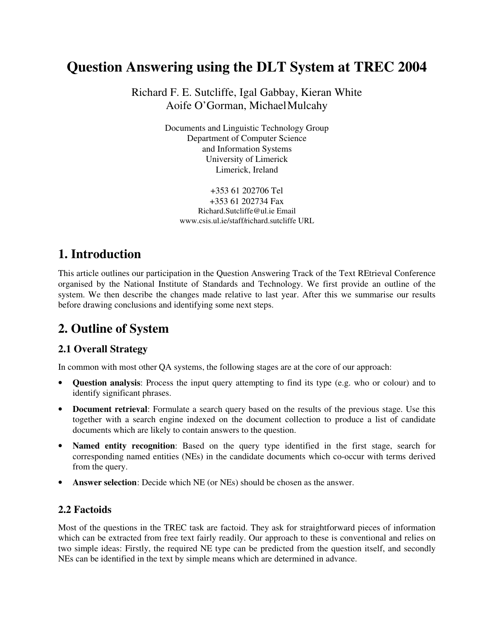# **Question Answering using the DLT System at TREC 2004**

Richard F. E. Sutcliffe, Igal Gabbay, Kieran White Aoife O'Gorman, Michael Mulcahy

> Documents and Linguistic Technology Group Department of Computer Science and Information Systems University of Limerick Limerick, Ireland

+353 61 202706 Tel +353 61 202734 Fax Richard.Sutcliffe@ul.ie Email www.csis.ul.ie/staff/richard.sutcliffe URL

## **1. Introduction**

This article outlines our participation in the Question Answering Track of the Text REtrieval Conference organised by the National Institute of Standards and Technology. We first provide an outline of the system. We then describe the changes made relative to last year. After this we summarise our results before drawing conclusions and identifying some next steps.

# **2. Outline of System**

### **2.1 Overall Strategy**

In common with most other QA systems, the following stages are at the core of our approach:

- **Question analysis**: Process the input query attempting to find its type (e.g. who or colour) and to identify significant phrases.
- **Document retrieval**: Formulate a search query based on the results of the previous stage. Use this together with a search engine indexed on the document collection to produce a list of candidate documents which are likely to contain answers to the question.
- **Named entity recognition**: Based on the query type identified in the first stage, search for corresponding named entities (NEs) in the candidate documents which co-occur with terms derived from the query.
- **Answer selection**: Decide which NE (or NEs) should be chosen as the answer.

#### **2.2 Factoids**

Most of the questions in the TREC task are factoid. They ask for straightforward pieces of information which can be extracted from free text fairly readily. Our approach to these is conventional and relies on two simple ideas: Firstly, the required NE type can be predicted from the question itself, and secondly NEs can be identified in the text by simple means which are determined in advance.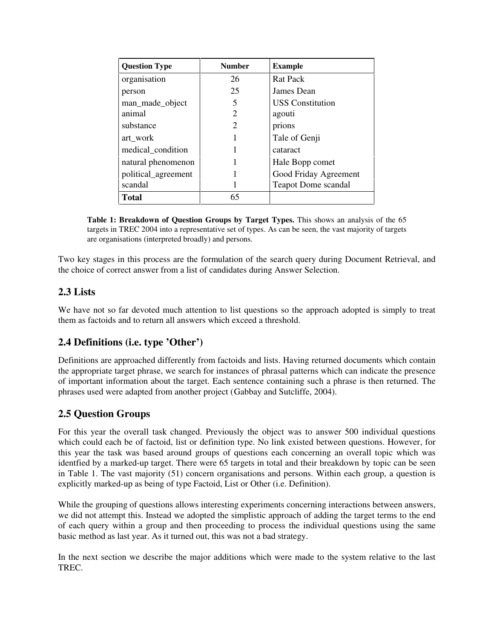| <b>Question Type</b> | <b>Number</b>         | <b>Example</b>             |
|----------------------|-----------------------|----------------------------|
| organisation         | 26                    | <b>Rat Pack</b>            |
| person               | 25                    | James Dean                 |
| man_made_object      | 5                     | <b>USS</b> Constitution    |
| animal               | $\mathcal{D}_{\cdot}$ | agouti                     |
| substance            | 2                     | prions                     |
| art_work             |                       | Tale of Genji              |
| medical_condition    |                       | cataract                   |
| natural phenomenon   |                       | Hale Bopp comet            |
| political_agreement  |                       | Good Friday Agreement      |
| scandal              |                       | <b>Teapot Dome scandal</b> |
| <b>Total</b>         | 65                    |                            |

**Table 1: Breakdown of Question Groups by Target Types.** This shows an analysis of the 65 targets in TREC 2004 into a representative set of types. As can be seen, the vast majority of targets are organisations (interpreted broadly) and persons.

Two key stages in this process are the formulation of the search query during Document Retrieval, and the choice of correct answer from a list of candidates during Answer Selection.

#### **2.3 Lists**

We have not so far devoted much attention to list questions so the approach adopted is simply to treat them as factoids and to return all answers which exceed a threshold.

### **2.4 Definitions (i.e. type 'Other')**

Definitions are approached differently from factoids and lists. Having returned documents which contain the appropriate target phrase, we search for instances of phrasal patterns which can indicate the presence of important information about the target. Each sentence containing such a phrase is then returned. The phrases used were adapted from another project (Gabbay and Sutcliffe, 2004).

#### **2.5 Question Groups**

For this year the overall task changed. Previously the object was to answer 500 individual questions which could each be of factoid, list or definition type. No link existed between questions. However, for this year the task was based around groups of questions each concerning an overall topic which was identfied by a marked-up target. There were 65 targets in total and their breakdown by topic can be seen in Table 1. The vast majority (51) concern organisations and persons. Within each group, a question is explicitly marked-up as being of type Factoid, List or Other (i.e. Definition).

While the grouping of questions allows interesting experiments concerning interactions between answers, we did not attempt this. Instead we adopted the simplistic approach of adding the target terms to the end of each query within a group and then proceeding to process the individual questions using the same basic method as last year. As it turned out, this was not a bad strategy.

In the next section we describe the major additions which were made to the system relative to the last TREC.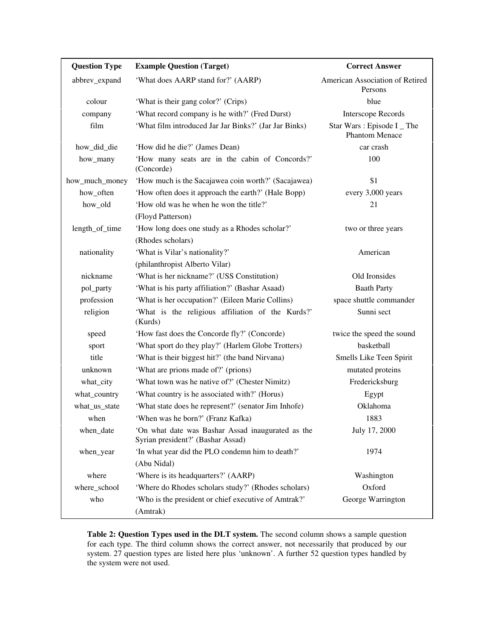| <b>Question Type</b> | <b>Example Question (Target)</b>                                                       | <b>Correct Answer</b>                               |  |
|----------------------|----------------------------------------------------------------------------------------|-----------------------------------------------------|--|
| abbrev_expand        | 'What does AARP stand for?' (AARP)                                                     | American Association of Retired<br>Persons          |  |
| colour               | 'What is their gang color?' (Crips)                                                    | blue                                                |  |
| company              | 'What record company is he with?' (Fred Durst)                                         | <b>Interscope Records</b>                           |  |
| film                 | 'What film introduced Jar Jar Binks?' (Jar Jar Binks)                                  | Star Wars: Episode I _ The<br><b>Phantom Menace</b> |  |
| how_did_die          | 'How did he die?' (James Dean)                                                         | car crash                                           |  |
| how_many             | 'How many seats are in the cabin of Concords?'<br>(Concorde)                           | 100                                                 |  |
| how_much_money       | 'How much is the Sacajawea coin worth?' (Sacajawea)                                    | \$1                                                 |  |
| how_often            | 'How often does it approach the earth?' (Hale Bopp)                                    | every 3,000 years                                   |  |
| how_old              | 'How old was he when he won the title?'                                                | 21                                                  |  |
|                      | (Floyd Patterson)                                                                      |                                                     |  |
| length_of_time       | 'How long does one study as a Rhodes scholar?'                                         | two or three years                                  |  |
|                      | (Rhodes scholars)                                                                      |                                                     |  |
| nationality          | 'What is Vilar's nationality?'                                                         | American                                            |  |
|                      | (philanthropist Alberto Vilar)                                                         |                                                     |  |
| nickname             | 'What is her nickname?' (USS Constitution)                                             | Old Ironsides                                       |  |
| pol_party            | 'What is his party affiliation?' (Bashar Asaad)                                        | <b>Baath Party</b>                                  |  |
| profession           | 'What is her occupation?' (Eileen Marie Collins)                                       | space shuttle commander                             |  |
| religion             | 'What is the religious affiliation of the Kurds?'<br>(Kurds)                           | Sunni sect                                          |  |
| speed                | 'How fast does the Concorde fly?' (Concorde)                                           | twice the speed the sound                           |  |
| sport                | 'What sport do they play?' (Harlem Globe Trotters)                                     | basketball                                          |  |
| title                | 'What is their biggest hit?' (the band Nirvana)                                        | Smells Like Teen Spirit                             |  |
| unknown              | 'What are prions made of?' (prions)                                                    | mutated proteins                                    |  |
| what_city            | 'What town was he native of?' (Chester Nimitz)                                         | Fredericksburg                                      |  |
| what_country         | 'What country is he associated with?' (Horus)                                          | Egypt                                               |  |
| what_us_state        | 'What state does he represent?' (senator Jim Inhofe)                                   | Oklahoma                                            |  |
| when                 | 'When was he born?' (Franz Kafka)                                                      | 1883                                                |  |
| when_date            | 'On what date was Bashar Assad inaugurated as the<br>Syrian president?' (Bashar Assad) | July 17, 2000                                       |  |
| when_year            | 'In what year did the PLO condemn him to death?'<br>(Abu Nidal)                        | 1974                                                |  |
| where                | 'Where is its headquarters?' (AARP)                                                    | Washington                                          |  |
| where_school         | 'Where do Rhodes scholars study?' (Rhodes scholars)                                    | Oxford                                              |  |
| who                  | 'Who is the president or chief executive of Amtrak?'<br>(Amtrak)                       | George Warrington                                   |  |

**Table 2: Question Types used in the DLT system.** The second column shows a sample question for each type. The third column shows the correct answer, not necessarily that produced by our system. 27 question types are listed here plus 'unknown'. A further 52 question types handled by the system were not used.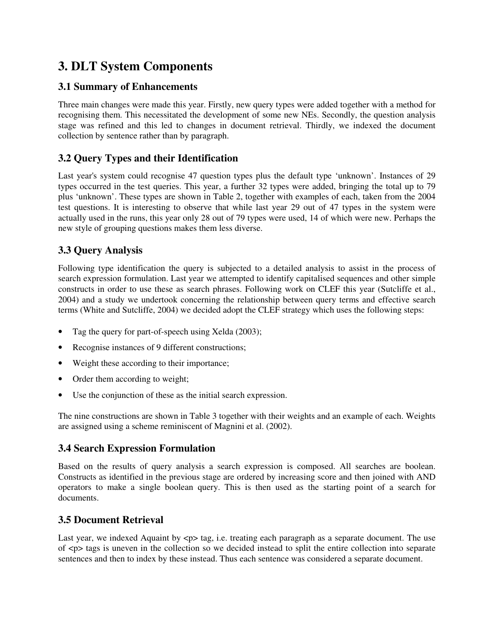# **3. DLT System Components**

#### **3.1 Summary of Enhancements**

Three main changes were made this year. Firstly, new query types were added together with a method for recognising them. This necessitated the development of some new NEs. Secondly, the question analysis stage was refined and this led to changes in document retrieval. Thirdly, we indexed the document collection by sentence rather than by paragraph.

### **3.2 Query Types and their Identification**

Last year's system could recognise 47 question types plus the default type 'unknown'. Instances of 29 types occurred in the test queries. This year, a further 32 types were added, bringing the total up to 79 plus 'unknown' . These types are shown in Table 2, together with examples of each, taken from the 2004 test questions. It is interesting to observe that while last year 29 out of 47 types in the system were actually used in the runs, this year only 28 out of 79 types were used, 14 of which were new. Perhaps the new style of grouping questions makes them less diverse.

## **3.3 Query Analysis**

Following type identification the query is subjected to a detailed analysis to assist in the process of search expression formulation. Last year we attempted to identify capitalised sequences and other simple constructs in order to use these as search phrases. Following work on CLEF this year (Sutcliffe et al., 2004) and a study we undertook concerning the relationship between query terms and effective search terms (White and Sutcliffe, 2004) we decided adopt the CLEF strategy which uses the following steps:

- Tag the query for part-of-speech using Xelda (2003);
- Recognise instances of 9 different constructions;
- Weight these according to their importance;
- Order them according to weight;
- Use the conjunction of these as the initial search expression.

The nine constructions are shown in Table 3 together with their weights and an example of each. Weights are assigned using a scheme reminiscent of Magnini et al. (2002).

### **3.4 Search Expression Formulation**

Based on the results of query analysis a search expression is composed. All searches are boolean. Constructs as identified in the previous stage are ordered by increasing score and then joined with AND operators to make a single boolean query. This is then used as the starting point of a search for documents.

### **3.5 Document Retrieval**

Last year, we indexed Aquaint by  $\langle p \rangle$  tag, i.e. treating each paragraph as a separate document. The use of <p> tags is uneven in the collection so we decided instead to split the entire collection into separate sentences and then to index by these instead. Thus each sentence was considered a separate document.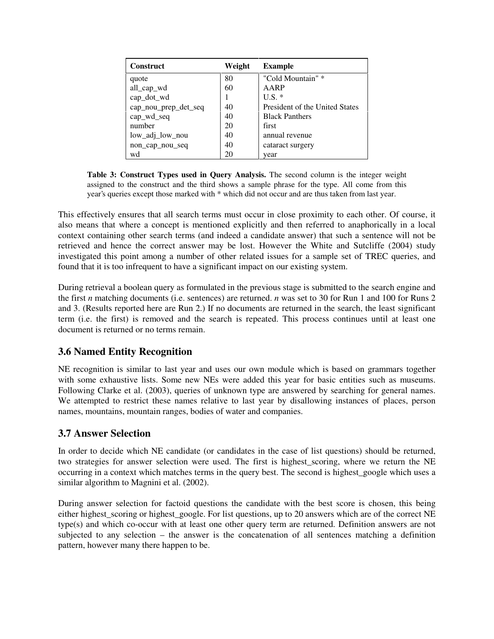| <b>Construct</b>     | Weight | <b>Example</b>                 |
|----------------------|--------|--------------------------------|
| quote                | 80     | "Cold Mountain" *              |
| all_cap_wd           | 60     | AARP                           |
| cap_dot_wd           |        | $U.S.$ *                       |
| cap_nou_prep_det_seq | 40     | President of the United States |
| cap_wd_seq           | 40     | <b>Black Panthers</b>          |
| number               | 20     | first                          |
| low_adj_low_nou      | 40     | annual revenue                 |
| non_cap_nou_seq      | 40     | cataract surgery               |
| wd                   | 20     | vear                           |

**Table 3: Construct Types used in Query Analysis.** The second column is the integer weight assigned to the construct and the third shows a sample phrase for the type. All come from this year's queries except those marked with \* which did not occur and are thus taken from last year.

This effectively ensures that all search terms must occur in close proximity to each other. Of course, it also means that where a concept is mentioned explicitly and then referred to anaphorically in a local context containing other search terms (and indeed a candidate answer) that such a sentence will not be retrieved and hence the correct answer may be lost. However the White and Sutcliffe (2004) study investigated this point among a number of other related issues for a sample set of TREC queries, and found that it is too infrequent to have a significant impact on our existing system.

During retrieval a boolean query as formulated in the previous stage is submitted to the search engine and the first *n* matching documents (i.e. sentences) are returned. *n* was set to 30 for Run 1 and 100 for Runs 2 and 3. (Results reported here are Run 2.) If no documents are returned in the search, the least significant term (i.e. the first) is removed and the search is repeated. This process continues until at least one document is returned or no terms remain.

#### **3.6 Named Entity Recognition**

NE recognition is similar to last year and uses our own module which is based on grammars together with some exhaustive lists. Some new NEs were added this year for basic entities such as museums. Following Clarke et al. (2003), queries of unknown type are answered by searching for general names. We attempted to restrict these names relative to last year by disallowing instances of places, person names, mountains, mountain ranges, bodies of water and companies.

#### **3.7 Answer Selection**

In order to decide which NE candidate (or candidates in the case of list questions) should be returned, two strategies for answer selection were used. The first is highest\_scoring, where we return the NE occurring in a context which matches terms in the query best. The second is highest\_google which uses a similar algorithm to Magnini et al. (2002).

During answer selection for factoid questions the candidate with the best score is chosen, this being either highest\_scoring or highest\_google. For list questions, up to 20 answers which are of the correct NE type(s) and which co-occur with at least one other query term are returned. Definition answers are not subjected to any selection – the answer is the concatenation of all sentences matching a definition pattern, however many there happen to be.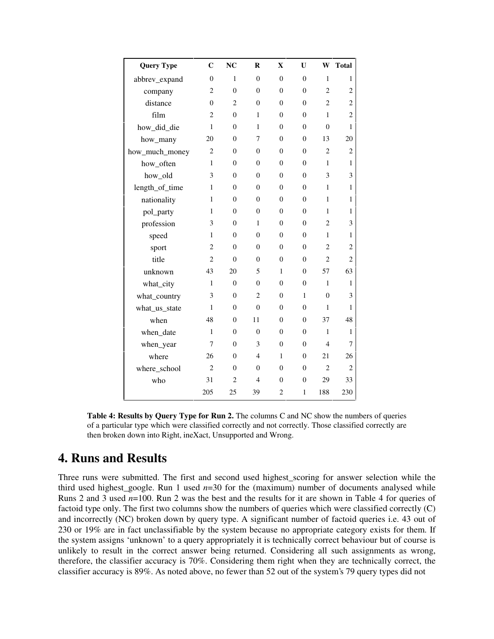| <b>Query Type</b> | $\mathbf C$    | NC             | $\bf{R}$       | $\mathbf X$      | U              | W              | <b>Total</b>   |
|-------------------|----------------|----------------|----------------|------------------|----------------|----------------|----------------|
| abbrev_expand     | $\theta$       | $\mathbf{1}$   | $\theta$       | $\theta$         | $\theta$       | $\mathbf{1}$   | 1              |
| company           | $\overline{2}$ | $\overline{0}$ | $\theta$       | $\overline{0}$   | $\theta$       | $\overline{2}$ | $\overline{c}$ |
| distance          | $\mathbf{0}$   | $\overline{2}$ | $\overline{0}$ | $\overline{0}$   | $\mathbf{0}$   | $\overline{c}$ | $\overline{c}$ |
| film              | $\overline{c}$ | $\theta$       | $\mathbf{1}$   | $\overline{0}$   | $\theta$       | $\mathbf{1}$   | $\overline{c}$ |
| how_did_die       | $\mathbf{1}$   | $\mathbf{0}$   | 1              | $\overline{0}$   | $\overline{0}$ | $\theta$       | $\mathbf{1}$   |
| how_many          | 20             | $\overline{0}$ | 7              | $\overline{0}$   | $\theta$       | 13             | 20             |
| how_much_money    | $\overline{2}$ | $\mathbf{0}$   | $\overline{0}$ | $\overline{0}$   | $\overline{0}$ | $\overline{2}$ | $\overline{c}$ |
| how_often         | $\mathbf{1}$   | $\theta$       | $\theta$       | $\overline{0}$   | $\theta$       | $\mathbf{1}$   | $\mathbf{1}$   |
| how_old           | 3              | $\mathbf{0}$   | $\overline{0}$ | $\overline{0}$   | $\overline{0}$ | 3              | 3              |
| length_of_time    | $\mathbf{1}$   | $\mathbf{0}$   | $\theta$       | $\overline{0}$   | $\theta$       | $\mathbf{1}$   | $\mathbf{1}$   |
| nationality       | $\mathbf{1}$   | $\Omega$       | $\theta$       | $\overline{0}$   | $\theta$       | 1              | $\mathbf{1}$   |
| pol_party         | 1              | $\Omega$       | $\theta$       | $\theta$         | $\theta$       | $\mathbf{1}$   | $\mathbf{1}$   |
| profession        | 3              | $\overline{0}$ | 1              | $\overline{0}$   | $\overline{0}$ | $\overline{2}$ | 3              |
| speed             | $\mathbf{1}$   | $\mathbf{0}$   | $\overline{0}$ | $\overline{0}$   | $\overline{0}$ | 1              | $\mathbf{1}$   |
| sport             | $\mathbf{2}$   | $\Omega$       | $\overline{0}$ | $\overline{0}$   | $\theta$       | $\overline{2}$ | $\overline{c}$ |
| title             | $\overline{2}$ | $\overline{0}$ | $\overline{0}$ | $\overline{0}$   | $\overline{0}$ | $\overline{2}$ | $\overline{c}$ |
| unknown           | 43             | 20             | 5              | $\mathbf{1}$     | $\theta$       | 57             | 63             |
| what_city         | $\mathbf{1}$   | $\mathbf{0}$   | $\overline{0}$ | $\boldsymbol{0}$ | $\overline{0}$ | 1              | $\mathbf{1}$   |
| what_country      | 3              | $\overline{0}$ | $\overline{2}$ | $\overline{0}$   | $\mathbf{1}$   | $\theta$       | 3              |
| what_us_state     | $\mathbf{1}$   | $\mathbf{0}$   | $\overline{0}$ | $\overline{0}$   | $\overline{0}$ | $\mathbf{1}$   | 1              |
| when              | 48             | $\Omega$       | 11             | $\overline{0}$   | $\theta$       | 37             | 48             |
| when_date         | $\mathbf{1}$   | $\mathbf{0}$   | $\overline{0}$ | $\overline{0}$   | $\overline{0}$ | $\mathbf{1}$   | $\mathbf{1}$   |
| when_year         | 7              | $\theta$       | 3              | $\overline{0}$   | $\theta$       | $\overline{4}$ | 7              |
| where             | 26             | $\mathbf{0}$   | 4              | 1                | $\mathbf{0}$   | 21             | 26             |
| where_school      | $\overline{2}$ | $\theta$       | $\theta$       | $\overline{0}$   | $\overline{0}$ | $\overline{2}$ | $\overline{2}$ |
| who               | 31             | $\overline{2}$ | 4              | $\overline{0}$   | $\overline{0}$ | 29             | 33             |
|                   | 205            | 25             | 39             | $\overline{2}$   | $\mathbf{1}$   | 188            | 230            |

**Table 4: Results by Query Type for Run 2.** The columns C and NC show the numbers of queries of a particular type which were classified correctly and not correctly. Those classified correctly are then broken down into Right, ineXact, Unsupported and Wrong.

## **4. Runs and Results**

Three runs were submitted. The first and second used highest\_scoring for answer selection while the third used highest\_google. Run 1 used *n*=30 for the (maximum) number of documents analysed while Runs 2 and 3 used *n*=100. Run 2 was the best and the results for it are shown in Table 4 for queries of factoid type only. The first two columns show the numbers of queries which were classified correctly (C) and incorrectly (NC) broken down by query type. A significant number of factoid queries i.e. 43 out of 230 or 19% are in fact unclassifiable by the system because no appropriate category exists for them. If the system assigns 'unknown' to a query appropriately it is technically correct behaviour but of course is unlikely to result in the correct answer being returned. Considering all such assignments as wrong, therefore, the classifier accuracy is 70%. Considering them right when they are technically correct, the classifier accuracy is 89%. As noted above, no fewer than 52 out of the system's 79 query types did not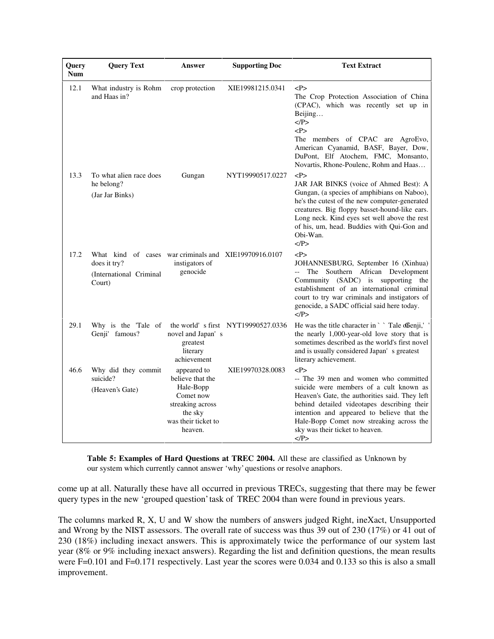| Query<br><b>Num</b> | <b>Query Text</b>                                                                                          | Answer                                                                                                                     | <b>Supporting Doc</b>                 | <b>Text Extract</b>                                                                                                                                                                                                                                                                                                            |
|---------------------|------------------------------------------------------------------------------------------------------------|----------------------------------------------------------------------------------------------------------------------------|---------------------------------------|--------------------------------------------------------------------------------------------------------------------------------------------------------------------------------------------------------------------------------------------------------------------------------------------------------------------------------|
| 12.1                | What industry is Rohm<br>and Haas in?                                                                      | crop protection                                                                                                            | XIE19981215.0341                      | P<br>The Crop Protection Association of China<br>(CPAC), which was recently set up in<br>Beijing<br>$<$ /P><br>P<br>The members of CPAC are AgroEvo,<br>American Cyanamid, BASF, Bayer, Dow,<br>DuPont, Elf Atochem, FMC, Monsanto,<br>Novartis, Rhone-Poulenc, Rohm and Haas                                                  |
| 13.3                | To what alien race does<br>he belong?<br>(Jar Jar Binks)                                                   | Gungan                                                                                                                     | NYT19990517.0227                      | < P><br>JAR JAR BINKS (voice of Ahmed Best): A<br>Gungan, (a species of amphibians on Naboo),<br>he's the cutest of the new computer-generated<br>creatures. Big floppy basset-hound-like ears.<br>Long neck. Kind eyes set well above the rest<br>of his, um, head. Buddies with Qui-Gon and<br>Obi-Wan.<br>$<$ /P>           |
| 17.2                | What kind of cases war-criminals and XIE19970916.0107<br>does it try?<br>(International Criminal<br>Court) | instigators of<br>genocide                                                                                                 |                                       | P<br>JOHANNESBURG, September 16 (Xinhua)<br>-- The Southern African Development<br>Community (SADC) is supporting the<br>establishment of an international criminal<br>court to try war criminals and instigators of<br>genocide, a SADC official said here today.<br>$<$ /P>                                                  |
| 29.1                | Why is the 'Tale of<br>Genji' famous?                                                                      | novel and Japan's<br>greatest<br>literary<br>achievement                                                                   | the world' s first $NYT19990527.0336$ | He was the title character in ` ` Tale offenji,'<br>the nearly 1,000-year-old love story that is<br>sometimes described as the world's first novel<br>and is usually considered Japan's greatest<br>literary achievement.                                                                                                      |
| 46.6                | Why did they commit<br>suicide?<br>(Heaven's Gate)                                                         | appeared to<br>believe that the<br>Hale-Bopp<br>Comet now<br>streaking across<br>the sky<br>was their ticket to<br>heaven. | XIE19970328.0083                      | P<br>-- The 39 men and women who committed<br>suicide were members of a cult known as<br>Heaven's Gate, the authorities said. They left<br>behind detailed videotapes describing their<br>intention and appeared to believe that the<br>Hale-Bopp Comet now streaking across the<br>sky was their ticket to heaven.<br>$<$ /P> |

**Table 5: Examples of Hard Questions at TREC 2004.** All these are classified as Unknown by our system which currently cannot answer 'why' questions or resolve anaphors.

come up at all. Naturally these have all occurred in previous TRECs, suggesting that there may be fewer query types in the new 'grouped question' task of TREC 2004 than were found in previous years.

The columns marked R, X, U and W show the numbers of answers judged Right, ineXact, Unsupported and Wrong by the NIST assessors. The overall rate of success was thus 39 out of 230 (17%) or 41 out of 230 (18%) including inexact answers. This is approximately twice the performance of our system last year (8% or 9% including inexact answers). Regarding the list and definition questions, the mean results were F=0.101 and F=0.171 respectively. Last year the scores were 0.034 and 0.133 so this is also a small improvement.